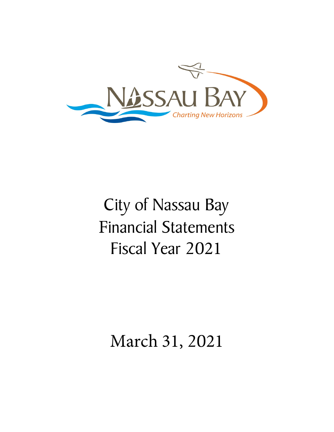

# City of Nassau Bay Financial Statements Fiscal Year 2021

## March 31, 2021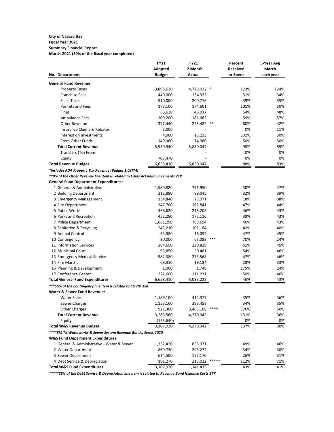#### **City of Nassau Bay Fiscal Year 2021 Summary Financial Report**

**March-2021 (50% of the fiscal year completed)**

|                                                                                | <b>FY21</b>   | <b>FY21</b>   |       | Percent         | 5-Year Avg   |
|--------------------------------------------------------------------------------|---------------|---------------|-------|-----------------|--------------|
|                                                                                | Adopted       | 12 Month      |       | <b>Received</b> | <b>March</b> |
| No. Department                                                                 | <b>Budget</b> | <b>Actual</b> |       | or Spent        | each year    |
| <b>General Fund Revenue:</b>                                                   |               |               |       |                 |              |
| <b>Property Taxes</b>                                                          | 3,898,620     | 4,779,022 *   |       | 123%            | 124%         |
| <b>Franchise Fees</b>                                                          | 440,000       | 134,332       |       | 31%             | 34%          |
| Sales Taxes                                                                    | 510,000       | 200,716       |       | 39%             | 35%          |
| Permits and Fees                                                               | 173,100       | 174,601       |       | 101%            | 50%          |
| Fines                                                                          | 85,620        | 46,017        |       | 54%             | 48%          |
| <b>Ambulance Fees</b>                                                          | 309,200       | 181,662       |       | 59%             | 57%          |
| <b>Other Revenue</b>                                                           | 377,440       | 225,482       | $***$ | 60%             | 42%          |
| <b>Insurance Claims &amp; Rebates</b>                                          | 3,000         |               |       | 0%              | 11%          |
| Interest on Investments                                                        | 4,000         | 13,233        |       | 331%            | 50%          |
| From Other Funds                                                               | 149,960       | 74,980        |       | 50%             | 50%          |
| <b>Total Current Revenue</b>                                                   | 5,950,940     | 5,830,047     |       | 98%             | 89%          |
| Transfers (To) From                                                            |               |               |       | 0%              | 0%           |
| Equity                                                                         | 707,470       |               |       | 0%              | 0%           |
| <b>Total Revenue Budget</b>                                                    | 6,658,410     | 5,830,047     |       | 88%             | 83%          |
| *Includes RDA Property Tax Revenue (Budget 1.037M)                             |               |               |       |                 |              |
| **9% of the Other Revenue line item is related to Cares Act Reimbursements 21K |               |               |       |                 |              |
| <b>General Fund Department Expenditures:</b>                                   |               |               |       |                 |              |
| 1 General & Administrative                                                     | 1,580,820     | 791,950       |       | 50%             | 47%          |
| 2 Building Department                                                          | 312,880       | 99,045        |       | 32%             | 39%          |
| 3 Emergency Management                                                         | 134,840       | 23,971        |       | 18%             | 38%          |
| 4 Fire Department                                                              | 347,700       | 162,841       |       | 47%             | 44%          |
| 5 Public Works                                                                 | 468,620       | 216,205       |       | 46%             | 43%          |
| 6 Parks and Recreation                                                         | 452,280       | 172,116       |       | 38%             | 43%          |
| 7 Police Department                                                            | 1,661,290     | 769,694       |       | 46%             | 43%          |
| 8 Sanitation & Recycling                                                       | 243,210       | 101,184       |       | 42%             | 40%          |
| 9 Animal Control                                                               | 33,980        | 16,092        |       | 47%             | 45%          |
| 10 Contingency                                                                 | 90,000        | 63,083        | ***   | 70%             | 24%          |
| 11 Information Services                                                        | 364,650       | 220,829       |       | 61%             | 45%          |
| 12 Municipal Court                                                             | 93,850        | 50,481        |       | 54%             | 46%          |
| 13 Emergency Medical Service                                                   | 582,380       | 273,568       |       | 47%             | 46%          |
| 14 Fire Marshal                                                                | 68,310        | 19,184        |       | 28%             | 33%          |
| 15 Planning & Development                                                      | 1,000         | 1,748         |       | 175%            | 24%          |
| 17 Conference Center                                                           | 222,600       | 111,231       |       | 50%             | 46%          |
| <b>Total General Fund Expenditures</b>                                         | 6,658,410     | 3,093,222     |       | 46%             | 43%          |
| ***55% of the Contingency line item is related to COVID 35K                    |               |               |       |                 |              |
| <b>Water &amp; Sewer Fund Revenue:</b>                                         |               |               |       |                 |              |
| <b>Water Sales</b>                                                             | 1,189,100     | 414,377       |       | 35%             | 36%          |
| Sewer Charges                                                                  | 1,153,160     | 393,458       |       | 34%             | 35%          |
| <b>Other Charges</b>                                                           | 921,300       | 3,463,108     | ****  | 376%            | 50%          |
| <b>Total Current Revenue</b>                                                   | 3,263,560     | 4,270,942     |       | 131%            | 36%          |
| Equity                                                                         | (155, 640)    |               |       | 0%              | 0%           |
| <b>Total W&amp;S Revenue Budget</b>                                            | 3,107,920     | 4,270,942     |       | 137%            | 30%          |
| **** 3M TX Waterworks & Sewer System Revenue Bonds, Series 2020                |               |               |       |                 |              |
| <b>W&amp;S Fund Department Expenditures:</b>                                   |               |               |       |                 |              |
| 1 General & Administrative - Water & Sewer                                     | 1,352,420     | 655,971       |       | 49%             | 46%          |
| 2 Water Department                                                             | 869,730       | 293,272       |       | 34%             | 30%          |
| 3 Sewer Department                                                             | 694,500       | 177,170       |       | 26%             | 31%          |
| 4 Debt Service & Depreciation                                                  | 191,270       | 215,022       | ***** | 112%            | 71%          |
| <b>Total W&amp;S Fund Expenditures</b>                                         | 3,107,920     | 1,341,435     |       | 43%             | 41%          |
|                                                                                |               |               |       |                 |              |

*\*\*\*\*\*26% of the Debt Service & Depreciation line item is related to Revenue Bond Issuance Costs 57K*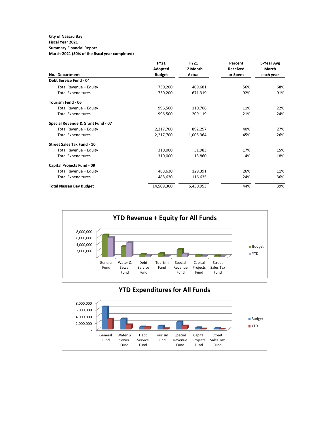### **City of Nassau Bay**

## **Fiscal Year 2021**

**Summary Financial Report March-2021 (50% of the fiscal year completed)**

|                                   | <b>FY21</b>   | <b>FY21</b> | Percent         | 5-Year Avg   |
|-----------------------------------|---------------|-------------|-----------------|--------------|
|                                   | Adopted       | 12 Month    | <b>Received</b> | <b>March</b> |
| No. Department                    | <b>Budget</b> | Actual      | or Spent        | each year    |
| <b>Debt Service Fund - 04</b>     |               |             |                 |              |
| Total Revenue + Equity            | 730,200       | 409,681     | 56%             | 68%          |
| <b>Total Expenditures</b>         | 730,200       | 671,319     | 92%             | 91%          |
| <b>Tourism Fund - 06</b>          |               |             |                 |              |
| Total Revenue + Equity            | 996,500       | 110,706     | 11%             | 22%          |
| <b>Total Expenditures</b>         | 996,500       | 209,119     | 21%             | 24%          |
| Special Revenue & Grant Fund - 07 |               |             |                 |              |
| Total Revenue + Equity            | 2,217,700     | 892,257     | 40%             | 27%          |
| <b>Total Expenditures</b>         | 2,217,700     | 1,005,364   | 45%             | 26%          |
| <b>Street Sales Tax Fund - 10</b> |               |             |                 |              |
| Total Revenue + Equity            | 310,000       | 51,983      | 17%             | 15%          |
| <b>Total Expenditures</b>         | 310,000       | 13,860      | 4%              | 18%          |
| <b>Capital Projects Fund - 09</b> |               |             |                 |              |
| Total Revenue + Equity            | 488,630       | 129,391     | 26%             | 11%          |
| <b>Total Expenditures</b>         | 488,630       | 116,635     | 24%             | 36%          |
| <b>Total Nassau Bay Budget</b>    | 14,509,360    | 6,450,953   | 44%             | 39%          |

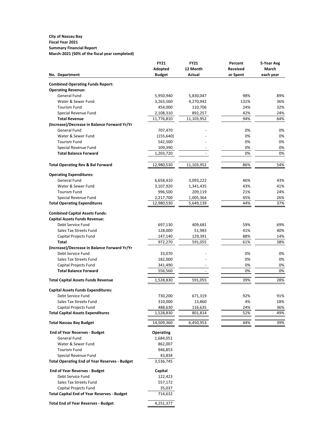#### **City of Nassau Bay Fiscal Year 2021 Summary Financial Report March-2021 (50% of the fiscal year completed)**

|                                                                             | <b>FY21</b>       | <b>FY21</b>   | Percent         | 5-Year Avg   |  |  |
|-----------------------------------------------------------------------------|-------------------|---------------|-----------------|--------------|--|--|
|                                                                             | <b>Adopted</b>    | 12 Month      | <b>Received</b> | <b>March</b> |  |  |
| No. Department                                                              | <b>Budget</b>     | <b>Actual</b> | or Spent        | each year    |  |  |
| <b>Combined Operating Funds Report:</b>                                     |                   |               |                 |              |  |  |
| <b>Operating Revenue:</b>                                                   |                   |               |                 |              |  |  |
| <b>General Fund</b>                                                         | 5,950,940         | 5,830,047     | 98%             | 89%          |  |  |
| Water & Sewer Fund                                                          | 3,263,560         | 4,270,942     | 131%            | 36%          |  |  |
| <b>Tourism Fund</b>                                                         | 454,000           | 110,706       | 24%             | 32%          |  |  |
| Special Revenue Fund                                                        | 2,108,310         | 892,257       | 42%             | 24%          |  |  |
| <b>Total Revenue</b>                                                        | 11,776,810        | 11,103,952    | 94%             | 64%          |  |  |
| (Increase)/Decrease in Balance Forward Yr/Yr                                |                   |               |                 |              |  |  |
| <b>General Fund</b>                                                         | 707,470           |               | 0%              | 0%           |  |  |
| Water & Sewer Fund                                                          | (155, 640)        |               | 0%              | 0%           |  |  |
| <b>Tourism Fund</b>                                                         | 542,500           |               | 0%              | 0%           |  |  |
| Special Revenue Fund                                                        | 109,390           |               | 0%              | 0%           |  |  |
| <b>Total Balance Forward</b>                                                | 1,203,720         |               | 0%              | 0%           |  |  |
| <b>Total Operating Rev &amp; Bal Forward</b>                                | 12,980,530        | 11,103,952    | 86%             | 54%          |  |  |
|                                                                             |                   |               |                 |              |  |  |
| <b>Operating Expenditures:</b><br><b>General Fund</b>                       | 6,658,410         | 3,093,222     | 46%             | 43%          |  |  |
| Water & Sewer Fund                                                          | 3,107,920         | 1,341,435     | 43%             | 41%          |  |  |
| <b>Tourism Fund</b>                                                         | 996,500           | 209,119       | 21%             | 24%          |  |  |
| Special Revenue Fund                                                        | 2,217,700         | 1,005,364     | 45%             | 26%          |  |  |
| <b>Total Operating Expenditures</b>                                         | 12,980,530        | 5,649,139     | 44%             | 37%          |  |  |
|                                                                             |                   |               |                 |              |  |  |
| <b>Combined Capital Assets Funds:</b>                                       |                   |               |                 |              |  |  |
| <b>Capital Assets Funds Revenue:</b>                                        |                   |               |                 |              |  |  |
| Debt Service Fund                                                           | 697,130           | 409,681       | 59%             | 69%          |  |  |
| Sales Tax Streets Fund                                                      | 128,000           | 51,983        | 41%             | 40%          |  |  |
| <b>Capital Projects Fund</b>                                                | 147,140           | 129,391       | 88%             | 14%          |  |  |
| <b>Total</b>                                                                | 972,270           | 591,055       | 61%             | 38%          |  |  |
| (Increase)/Decrease in Balance Forward Yr/Yr                                |                   |               |                 |              |  |  |
| Debt Service Fund                                                           | 33,070            |               | 0%              | 0%           |  |  |
| Sales Tax Streets Fund                                                      | 182,000           |               | 0%              | 0%           |  |  |
| Capital Projects Fund                                                       | 341,490           |               | 0%              | 0%           |  |  |
| <b>Total Balance Forward</b>                                                | 556,560           |               | 0%              | 0%           |  |  |
| <b>Total Capital Assets Funds Revenue</b>                                   | 1,528,830         | 591,055       | 39%             | 28%          |  |  |
| <b>Capital Assets Funds Expenditures:</b>                                   |                   |               |                 |              |  |  |
| Debt Service Fund                                                           | 730,200           | 671,319       | 92%             | 91%          |  |  |
| Sales Tax Streets Fund                                                      | 310,000           | 13,860        | 4%              | 18%          |  |  |
| Capital Projects Fund                                                       | 488,630           | 116,635       | 24%             | 36%          |  |  |
| <b>Total Capital Assets Expenditures</b>                                    | 1,528,830         | 801,814       | 52%             | 49%          |  |  |
| <b>Total Nassau Bay Budget</b>                                              | 14,509,360        | 6,450,953     | 44%             | 39%          |  |  |
| <b>End of Year Reserves - Budget</b>                                        | <b>Operating</b>  |               |                 |              |  |  |
| <b>General Fund</b>                                                         | 1,684,051         |               |                 |              |  |  |
| Water & Sewer Fund                                                          | 862,007           |               |                 |              |  |  |
| <b>Tourism Fund</b>                                                         | 946,853           |               |                 |              |  |  |
| Special Revenue Fund                                                        | 43,834            |               |                 |              |  |  |
| <b>Total Operating End of Year Reserves - Budget</b>                        | 3,536,745         |               |                 |              |  |  |
|                                                                             |                   |               |                 |              |  |  |
| <b>End of Year Reserves - Budget</b>                                        | Capital           |               |                 |              |  |  |
| Debt Service Fund                                                           | 122,423           |               |                 |              |  |  |
| Sales Tax Streets Fund                                                      | 557,172           |               |                 |              |  |  |
| Capital Projects Fund<br><b>Total Capital End of Year Reserves - Budget</b> | 35,037<br>714,632 |               |                 |              |  |  |
|                                                                             |                   |               |                 |              |  |  |
| <b>Total End of Year Reserves - Budget</b>                                  | 4,251,377         |               |                 |              |  |  |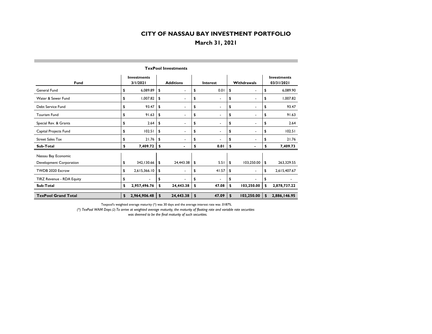## **March 31, 2021**

| <b>Fund</b>                | <b>Investments</b><br>3/1/2021 |              | <b>Additions</b> |                          |    | <b>Interest</b>          |    | Withdrawals              | <b>Investments</b><br>03/31/2021 |              |  |  |  |
|----------------------------|--------------------------------|--------------|------------------|--------------------------|----|--------------------------|----|--------------------------|----------------------------------|--------------|--|--|--|
| <b>General Fund</b>        | \$                             | 6,089.89     | \$               | $\blacksquare$           | \$ | 0.01                     | \$ | $\overline{\phantom{a}}$ | \$                               | 6,089.90     |  |  |  |
| Water & Sewer Fund         | \$                             | 1,007.82     | \$               | $\overline{\phantom{a}}$ | \$ | $\overline{\phantom{a}}$ | \$ | ٠                        | \$                               | 1,007.82     |  |  |  |
| Debt Service Fund          | \$                             | 93.47        | \$               | $\blacksquare$           | \$ | $\blacksquare$           | \$ | ۰                        | \$                               | 93.47        |  |  |  |
| <b>Tourism Fund</b>        | \$                             | 91.63        | \$               | $\overline{\phantom{a}}$ | \$ | $\overline{\phantom{a}}$ | \$ | $\overline{\phantom{a}}$ | \$                               | 91.63        |  |  |  |
| Special Rev. & Grants      | \$                             | 2.64         | \$               | ۰                        | \$ |                          | \$ |                          | \$                               | 2.64         |  |  |  |
| Capital Projects Fund      | \$                             | 102.51       | \$               | $\blacksquare$           | \$ |                          | \$ |                          | \$                               | 102.51       |  |  |  |
| <b>Street Sales Tax</b>    | \$                             | 21.76        | \$               | ۰                        | \$ |                          | \$ | ٠                        | \$                               | 21.76        |  |  |  |
| Sub-Total                  | \$                             | 7,409.72     | \$               | $\blacksquare$           | \$ | 0.01                     | \$ | $\blacksquare$           | \$                               | 7,409.73     |  |  |  |
| Nassau Bay Economic        |                                |              |                  |                          |    |                          |    |                          |                                  |              |  |  |  |
| Development Corporation    | \$                             | 342, 130.66  | \$               | 24,443.38                | \$ | 5.51                     | \$ | 103,250.00               | \$                               | 263,329.55   |  |  |  |
| TWDB 2020 Escrow           | \$                             | 2,615,366.10 | \$               | $\blacksquare$           | \$ | 41.57                    | \$ | ٠                        | \$                               | 2,615,407.67 |  |  |  |
| TIRZ Revenue - RDA Equity  | \$                             |              | \$               |                          | \$ |                          | \$ |                          | \$                               |              |  |  |  |
| Sub-Total                  | \$                             | 2,957,496.76 | \$               | 24,443.38                | \$ | 47.08                    | \$ | 103,250.00               | \$                               | 2,878,737.22 |  |  |  |
| <b>TexPool Grand Total</b> | \$                             | 2,964,906.48 | \$               | 24,443.38                | \$ | 47.09                    | \$ | 103,250.00               | \$                               | 2,886,146.95 |  |  |  |

**TexPool Investments**

Texpool's weighted average maturity (\*) was 30 days and the average interest rate was .0187%.

*(\*) TexPool WAM Days (2) To arrive at weighted average maturity, the maturity of floating rate and variable rate securities*  was deemed to be the final maturity of such securities.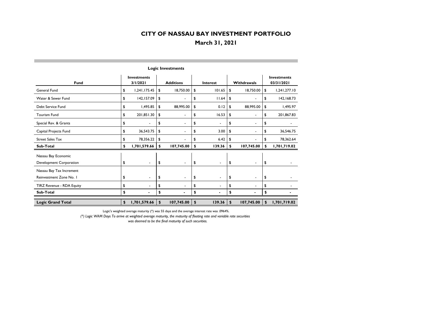## **March 31, 2021**

| <b>Logic Investments</b>  |                                |                |                  |                          |                 |                |                           |                          |    |                                  |  |
|---------------------------|--------------------------------|----------------|------------------|--------------------------|-----------------|----------------|---------------------------|--------------------------|----|----------------------------------|--|
| <b>Fund</b>               | <b>Investments</b><br>3/1/2021 |                | <b>Additions</b> |                          | <b>Interest</b> |                | Withdrawals               |                          |    | <b>Investments</b><br>03/31/2021 |  |
| <b>General Fund</b>       | \$                             | 1,241,175.45   | \$               | 18,750.00                | \$              | 101.65         | \$                        | 18,750.00                | \$ | 1,241,277.10                     |  |
| Water & Sewer Fund        | \$                             | 142,157.09     | \$               |                          | \$              | 11.64          | \$                        | $\blacksquare$           | \$ | 142,168.73                       |  |
| Debt Service Fund         | \$                             | 1,495.85       | \$               | 88,995.00                | \$              | 0.12           | \$                        | 88,995.00                | \$ | 1,495.97                         |  |
| <b>Tourism Fund</b>       | \$                             | 201,851.30     | \$               | $\blacksquare$           | \$              | 16.53          | \$                        | $\overline{\phantom{a}}$ | \$ | 201,867.83                       |  |
| Special Rev. & Grants     | \$                             | $\sim$         | \$               | $\blacksquare$           | \$              | $\blacksquare$ | \$                        | $\blacksquare$           | \$ |                                  |  |
| Capital Projects Fund     | \$                             | 36,543.75      | \$               | $\blacksquare$           | \$              | 3.00           | \$                        | $\blacksquare$           | \$ | 36,546.75                        |  |
| <b>Street Sales Tax</b>   | \$                             | 78,356.22      | \$               |                          | \$              | 6.42           | \$                        | $\blacksquare$           | \$ | 78,362.64                        |  |
| Sub-Total                 | \$                             | 1,701,579.66   | \$               | 107,745.00               | \$              | 139.36         | \$                        | 107,745.00               | \$ | 1,701,719.02                     |  |
| Nassau Bay Economic       |                                |                |                  |                          |                 |                |                           |                          |    |                                  |  |
| Development Corporation   | \$                             |                | \$               | $\blacksquare$           | \$              | $\blacksquare$ | \$                        | $\blacksquare$           | \$ |                                  |  |
| Nassau Bay Tax Increment  |                                |                |                  |                          |                 |                |                           |                          |    |                                  |  |
| Reinvestment Zone No. I   | \$                             | $\blacksquare$ | \$               | $\overline{\phantom{a}}$ | \$              | $\blacksquare$ | \$                        | $\overline{\phantom{a}}$ | \$ |                                  |  |
| TIRZ Revenue - RDA Equity | \$                             |                | \$               | $\blacksquare$           | \$              | $\blacksquare$ | \$                        | $\blacksquare$           | \$ |                                  |  |
| Sub-Total                 | \$                             | $\blacksquare$ | \$               |                          | \$              |                | \$                        | $\blacksquare$           | \$ |                                  |  |
| <b>Logic Grand Total</b>  | \$                             | 1,701,579.66   | \$               | 107,745.00               | \$              | 139.36         | $\boldsymbol{\mathsf{s}}$ | 107,745.00               | \$ | 1,701,719.02                     |  |

Logic's weighted average maturity (\*) was 55 days and the average interest rate was .0964%.

*(\*) Logic WAM Days To arrive at weighted average maturity, the maturity of floating rate and variable rate securities* 

 *was deemed to be the final maturity of such securities.*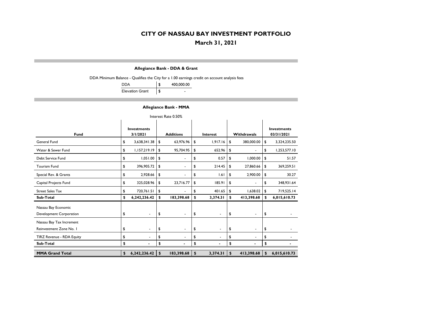**March 31, 2021**

#### **Allegiance Bank - DDA & Grant**

DDA Minimum Balance - Qualifies the City for a 1.00 earnings credit on account analysis fees

| DDA                    | 400,000.00 |
|------------------------|------------|
| <b>Elevation Grant</b> | \$         |

#### **Allegiance Bank - MMA**

| Interest Rate 0.50%                                 |                         |                          |                  |                          |                           |                          |             |                |    |                                  |  |  |
|-----------------------------------------------------|-------------------------|--------------------------|------------------|--------------------------|---------------------------|--------------------------|-------------|----------------|----|----------------------------------|--|--|
| <b>Fund</b>                                         | Investments<br>3/1/2021 |                          | <b>Additions</b> |                          |                           | <b>Interest</b>          | Withdrawals |                |    | <b>Investments</b><br>03/31/2021 |  |  |
| General Fund                                        | \$                      | 3,638,341.38             | \$               | 63,976.96                | \$                        | 1,917.16                 | \$          | 380,000.00     | \$ | 3,324,235.50                     |  |  |
| Water & Sewer Fund                                  | \$                      | 1,157,219.19             | \$               | 95,704.95                | \$                        | 652.96                   | \$          | $\blacksquare$ | \$ | 1,253,577.10                     |  |  |
| Debt Service Fund                                   | \$                      | 1,051.00                 | \$               | $\blacksquare$           | \$                        | 0.57                     | \$          | 1,000.00       | \$ | 51.57                            |  |  |
| <b>Tourism Fund</b>                                 | \$                      | 396,905.72               | \$               | $\sim$                   | \$                        | 214.45                   | \$          | 27,860.66      | \$ | 369,259.51                       |  |  |
| Special Rev. & Grants                               | \$                      | 2,928.66                 | \$               | ä,                       | \$                        | 1.61                     | \$          | 2,900.00       | \$ | 30.27                            |  |  |
| Capital Projects Fund                               | \$                      | 325,028.96               | \$               | 23,716.77                | \$                        | 185.91                   | \$          | $\blacksquare$ | \$ | 348,931.64                       |  |  |
| <b>Street Sales Tax</b>                             | \$                      | 720,761.51               | \$               |                          | \$                        | 401.65                   | \$          | 1,638.02       | \$ | 719,525.14                       |  |  |
| Sub-Total                                           | \$                      | 6,242,236.42             | \$               | 183,398.68               | \$                        | 3,374.31                 | \$          | 413,398.68     | \$ | 6,015,610.73                     |  |  |
| Nassau Bay Economic<br>Development Corporation      | \$                      | $\overline{\phantom{a}}$ | \$               | $\blacksquare$           | \$                        | $\overline{\phantom{a}}$ | \$          | $\blacksquare$ | \$ |                                  |  |  |
| Nassau Bay Tax Increment<br>Reinvestment Zone No. I | \$                      | $\blacksquare$           | \$               | $\blacksquare$           | \$                        | ۰                        | \$          | $\blacksquare$ | \$ |                                  |  |  |
| TIRZ Revenue - RDA Equity                           | \$                      | $\blacksquare$           | \$               | $\overline{\phantom{0}}$ | \$                        | $\overline{\phantom{0}}$ | \$          | $\blacksquare$ | \$ |                                  |  |  |
| <b>Sub-Total</b>                                    | \$                      |                          | \$               |                          | \$                        |                          | \$          |                | \$ |                                  |  |  |
| <b>MMA Grand Total</b>                              | \$                      | 6,242,236.42             | \$               | 183,398.68               | $\boldsymbol{\mathsf{s}}$ | 3,374.31                 | \$          | 413,398.68     | \$ | 6,015,610.73                     |  |  |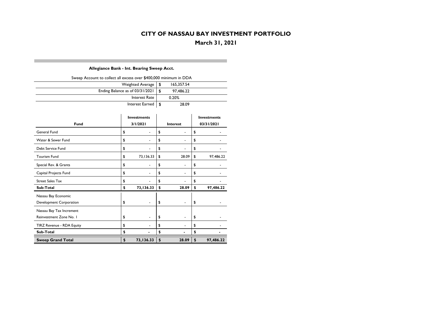**March 31, 2021**

#### **Allegiance Bank - Int. Bearing Sweep Acct.**

| Sweep Account to collect all excess over \$400,000 minimum in DDA |      |            |  |  |  |  |  |  |  |  |  |
|-------------------------------------------------------------------|------|------------|--|--|--|--|--|--|--|--|--|
| Weighted Average                                                  | ՝ Տ  | 165,357.54 |  |  |  |  |  |  |  |  |  |
| Ending Balance as of 03/31/2021                                   | - \$ | 97,486.22  |  |  |  |  |  |  |  |  |  |
| Interest Rate                                                     |      | 0.20%      |  |  |  |  |  |  |  |  |  |
| Interest Earned $\vert \$$                                        |      | 28.09      |  |  |  |  |  |  |  |  |  |

|                           | <b>Investments</b> |               | <b>Investments</b>       |    |            |  |  |
|---------------------------|--------------------|---------------|--------------------------|----|------------|--|--|
| <b>Fund</b>               | 3/1/2021           |               | <b>Interest</b>          |    | 03/31/2021 |  |  |
| General Fund              | \$                 | \$            | $\overline{\phantom{a}}$ | \$ |            |  |  |
| Water & Sewer Fund        | \$                 | \$            | ۰                        | \$ |            |  |  |
| Debt Service Fund         | \$                 | \$            | -                        | \$ |            |  |  |
| <b>Tourism Fund</b>       | \$<br>73,136.33    | \$            | 28.09                    | \$ | 97,486.22  |  |  |
| Special Rev. & Grants     | \$                 | \$            | -                        | \$ |            |  |  |
| Capital Projects Fund     | \$                 | \$            | $\overline{\phantom{a}}$ | \$ |            |  |  |
| <b>Street Sales Tax</b>   | \$                 | \$            |                          | \$ |            |  |  |
| <b>Sub-Total</b>          | \$<br>73,136.33    | \$            | 28.09                    | \$ | 97,486.22  |  |  |
| Nassau Bay Economic       |                    |               |                          |    |            |  |  |
| Development Corporation   | \$                 | \$            | ۰                        | \$ |            |  |  |
| Nassau Bay Tax Increment  |                    |               |                          |    |            |  |  |
| Reinvestment Zone No. I   | \$                 | \$            | $\overline{\phantom{a}}$ | \$ |            |  |  |
| TIRZ Revenue - RDA Equity | \$                 | \$            |                          | \$ |            |  |  |
| <b>Sub-Total</b>          | \$                 | \$            |                          | \$ |            |  |  |
| <b>Sweep Grand Total</b>  | \$<br>73,136.33    | $\frac{1}{2}$ | 28.09                    | \$ | 97,486.22  |  |  |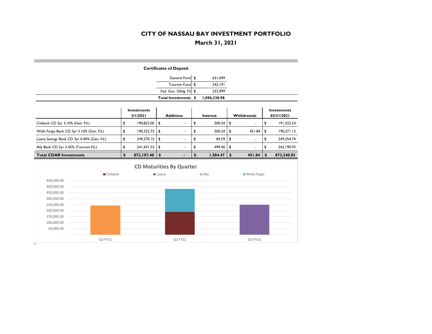**March 31, 2021**

|                                                    |                         |    |            |               | <b>Certificates of Deposit</b>  |    |                     |               |                    |               |                                  |
|----------------------------------------------------|-------------------------|----|------------|---------------|---------------------------------|----|---------------------|---------------|--------------------|---------------|----------------------------------|
|                                                    |                         |    |            |               | General Fund \$                 |    | 631,049             |               |                    |               |                                  |
|                                                    |                         |    |            |               | Tourism Fund                    | £. | 242,191             |               |                    |               |                                  |
|                                                    |                         |    |            |               | Fed. Gov. Oblig. Fd \$          |    | 223,099             |               |                    |               |                                  |
|                                                    |                         |    |            |               | Total Investments \$            |    | 1,096,338.98        |               |                    |               |                                  |
| <b>Investments</b><br>3/1/2021<br><b>Additions</b> |                         |    |            |               |                                 |    | <b>Interest</b>     |               | Withdrawals        |               | <b>Investments</b><br>03/31/2021 |
| Citibank CD 3yr 3.10% (Gen. Fd.)                   |                         | \$ | 190,823.00 | $\sqrt[6]{2}$ | $\overline{\phantom{a}}$        | \$ | 500.24              | \$            | $\blacksquare$     | \$            | 191,323.24                       |
| Wells Fargo Bank CD 3yr 3.10% (Gen. Fd.)           |                         | \$ | 190,322.73 | \$            | $\overline{a}$                  | \$ | 500.24              | \$            | 451.84             | £             | 190,371.13                       |
| Luana Savings Bank CD 3yr 0.40% (Gen. Fd.)         |                         | \$ | 249,270.15 | \$            |                                 | \$ | 84.59               | \$            |                    | \$            | 249,354.74                       |
| Ally Bank CD 2yr 2.45% (Tourism Fd.)               |                         | \$ | 241,691.53 | $\sqrt{2}$    | $\blacksquare$                  | \$ | 499.40              | \$            | $\overline{a}$     | \$            | 242, 190.93                      |
| <b>Total CDAR Investments</b>                      |                         | \$ | 872,107.40 | $\sqrt{2}$    | $\blacksquare$                  | \$ | 1,584.47            | $\frac{1}{2}$ | 451.84             | $\frac{1}{2}$ | 873,240.03                       |
|                                                    |                         |    |            |               | <b>CD Maturities By Quarter</b> |    |                     |               |                    |               |                                  |
|                                                    | $\blacksquare$ Citibank |    |            |               | <b>■</b> Luana                  |    | $\blacksquare$ Ally |               | <b>Wells Fargo</b> |               |                                  |
| 450,000.00                                         |                         |    |            |               |                                 |    |                     |               |                    |               |                                  |
| 400,000.00                                         |                         |    |            |               |                                 |    |                     |               |                    |               |                                  |
| 350,000.00                                         |                         |    |            |               |                                 |    |                     |               |                    |               |                                  |
| 300,000.00                                         |                         |    |            |               |                                 |    |                     |               |                    |               |                                  |
| 250,000.00                                         |                         |    |            |               |                                 |    |                     |               |                    |               |                                  |
| 200,000.00                                         |                         |    |            |               |                                 |    |                     |               |                    |               |                                  |
| 150,000.00                                         |                         |    |            |               |                                 |    |                     |               |                    |               |                                  |
| 100,000.00                                         |                         |    |            |               |                                 |    |                     |               |                    |               |                                  |
| 50,000.00                                          |                         |    |            |               |                                 |    |                     |               |                    |               |                                  |
|                                                    | Q3 FY21                 |    |            |               | Q2 FY22                         |    |                     |               | Q3 FY23            |               |                                  |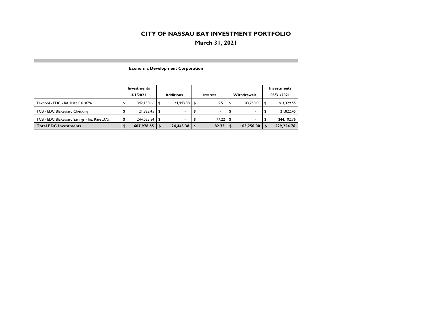**March 31, 2021**

|  | <b>Economic Development Corporation</b> |  |
|--|-----------------------------------------|--|
|--|-----------------------------------------|--|

|                                              | Investments |      |                  |     |          |      | Investments        |                  |
|----------------------------------------------|-------------|------|------------------|-----|----------|------|--------------------|------------------|
|                                              | 3/1/2021    |      | <b>Additions</b> |     | Interest |      | <b>Withdrawals</b> | 03/31/2021       |
| Texpool - EDC - Int. Rate 0.0187%            | 342,130.66  |      | 24,443.38        | ∣\$ | 5.51     |      | 103,250.00         | 263,329.55       |
| TCB - EDC BizReward Checking                 | 21,822.45   | l S  |                  | \$  |          | -\$  |                    | 21,822.45        |
| TCB - EDC BizReward Savings - Int. Rate .37% | 244.025.54  | - \$ |                  |     | 77.22    | - \$ |                    | \$<br>244.102.76 |
| <b>Total EDC Investments</b>                 | 607,978.65  |      | 24,443.38        |     | 82.73    |      | 103,250.00         | 529,254.76       |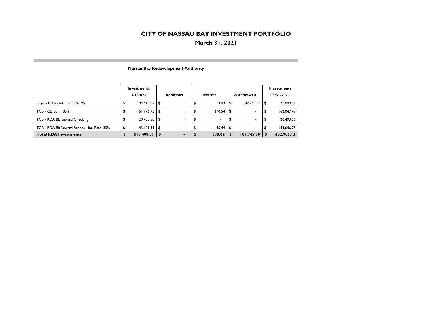## **March 31, 2021**

|                                              | Investments<br>3/1/2021 |            |     | <b>Additions</b>         | Interest       |      | <b>Withdrawals</b>       | Investments<br>03/31/2021 |            |  |
|----------------------------------------------|-------------------------|------------|-----|--------------------------|----------------|------|--------------------------|---------------------------|------------|--|
| Logic - RDA - Int. Rate .0964%               |                         | 184,618.57 | \$  | $\overline{\phantom{a}}$ | 14.84          |      | 107.745.00               |                           | 76,888.41  |  |
| TCB - CD 3yr 1.85%                           | J                       | 161,776.93 | -\$ | $\overline{\phantom{a}}$ | 270.54         | \$   | $\overline{\phantom{a}}$ |                           | 162,047.47 |  |
| TCB - RDA BizReward Checking                 |                         | 20,403.50  | -\$ | $\overline{\phantom{0}}$ | $\blacksquare$ |      | ۰                        |                           | 20,403.50  |  |
| TCB - RDA BizReward Savings - Int. Rate .35% |                         | 143,601.31 | \$  | $\blacksquare$           | 45.44          | - 56 | $\blacksquare$           |                           | 143,646.75 |  |
| <b>Total RDA Investments</b>                 |                         | 510,400.31 |     |                          | 330.82         |      | 107,745.00               |                           | 402,986.13 |  |

#### **Nassau Bay Redevelopment Authority**